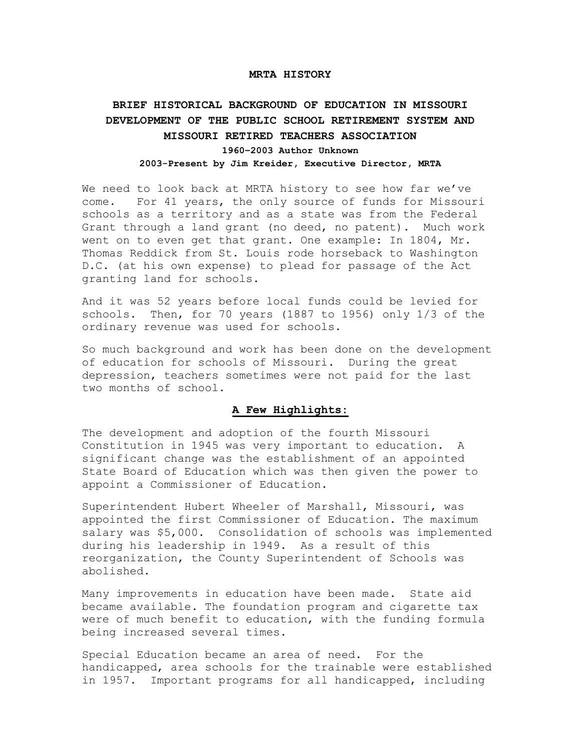#### **MRTA HISTORY**

# **BRIEF HISTORICAL BACKGROUND OF EDUCATION IN MISSOURI DEVELOPMENT OF THE PUBLIC SCHOOL RETIREMENT SYSTEM AND MISSOURI RETIRED TEACHERS ASSOCIATION 1960–2003 Author Unknown 2003-Present by Jim Kreider, Executive Director, MRTA**

We need to look back at MRTA history to see how far we've come. For 41 years, the only source of funds for Missouri schools as a territory and as a state was from the Federal Grant through a land grant (no deed, no patent). Much work went on to even get that grant. One example: In 1804, Mr. Thomas Reddick from St. Louis rode horseback to Washington D.C. (at his own expense) to plead for passage of the Act granting land for schools.

And it was 52 years before local funds could be levied for schools. Then, for 70 years (1887 to 1956) only 1/3 of the ordinary revenue was used for schools.

So much background and work has been done on the development of education for schools of Missouri. During the great depression, teachers sometimes were not paid for the last two months of school.

# **A Few Highlights:**

The development and adoption of the fourth Missouri Constitution in 1945 was very important to education. A significant change was the establishment of an appointed State Board of Education which was then given the power to appoint a Commissioner of Education.

Superintendent Hubert Wheeler of Marshall, Missouri, was appointed the first Commissioner of Education. The maximum salary was \$5,000. Consolidation of schools was implemented during his leadership in 1949. As a result of this reorganization, the County Superintendent of Schools was abolished.

Many improvements in education have been made. State aid became available. The foundation program and cigarette tax were of much benefit to education, with the funding formula being increased several times.

Special Education became an area of need. For the handicapped, area schools for the trainable were established in 1957. Important programs for all handicapped, including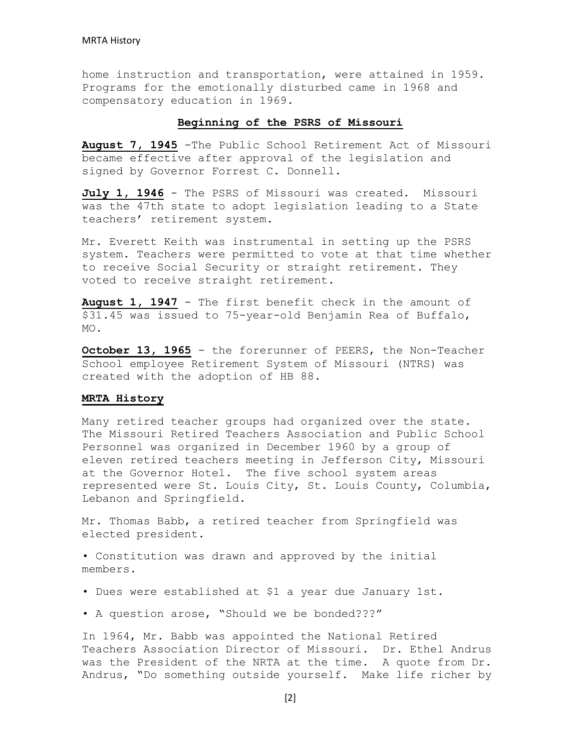home instruction and transportation, were attained in 1959. Programs for the emotionally disturbed came in 1968 and compensatory education in 1969.

### **Beginning of the PSRS of Missouri**

**August 7, 1945** -The Public School Retirement Act of Missouri became effective after approval of the legislation and signed by Governor Forrest C. Donnell.

**July 1, 1946** - The PSRS of Missouri was created. Missouri was the 47th state to adopt legislation leading to a State teachers' retirement system.

Mr. Everett Keith was instrumental in setting up the PSRS system. Teachers were permitted to vote at that time whether to receive Social Security or straight retirement. They voted to receive straight retirement.

**August 1, 1947** - The first benefit check in the amount of \$31.45 was issued to 75-year-old Benjamin Rea of Buffalo, MO.

**October 13, 1965** - the forerunner of PEERS, the Non-Teacher School employee Retirement System of Missouri (NTRS) was created with the adoption of HB 88.

#### **MRTA History**

Many retired teacher groups had organized over the state. The Missouri Retired Teachers Association and Public School Personnel was organized in December 1960 by a group of eleven retired teachers meeting in Jefferson City, Missouri at the Governor Hotel. The five school system areas represented were St. Louis City, St. Louis County, Columbia, Lebanon and Springfield.

Mr. Thomas Babb, a retired teacher from Springfield was elected president.

• Constitution was drawn and approved by the initial members.

- Dues were established at \$1 a year due January 1st.
- A question arose, "Should we be bonded???"

In 1964, Mr. Babb was appointed the National Retired Teachers Association Director of Missouri. Dr. Ethel Andrus was the President of the NRTA at the time. A quote from Dr. Andrus, "Do something outside yourself. Make life richer by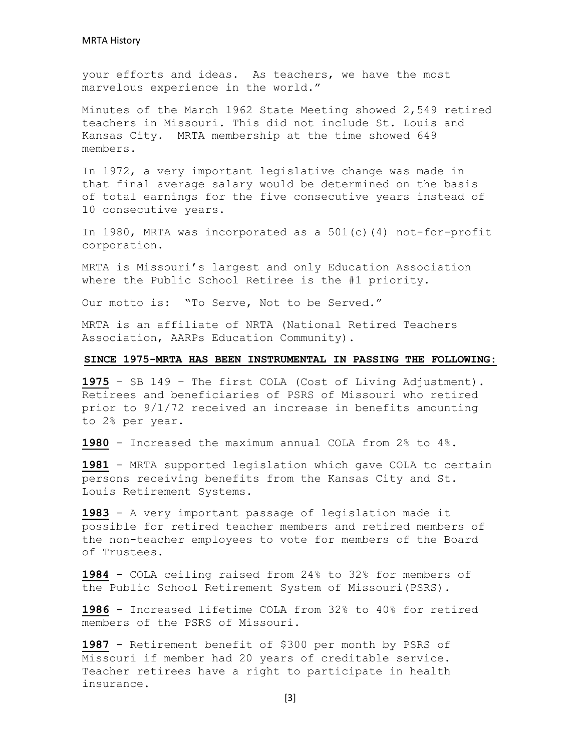your efforts and ideas. As teachers, we have the most marvelous experience in the world."

Minutes of the March 1962 State Meeting showed 2,549 retired teachers in Missouri. This did not include St. Louis and Kansas City. MRTA membership at the time showed 649 members.

In 1972, a very important legislative change was made in that final average salary would be determined on the basis of total earnings for the five consecutive years instead of 10 consecutive years.

In 1980, MRTA was incorporated as a 501(c)(4) not-for-profit corporation.

MRTA is Missouri's largest and only Education Association where the Public School Retiree is the #1 priority.

Our motto is: "To Serve, Not to be Served."

MRTA is an affiliate of NRTA (National Retired Teachers Association, AARPs Education Community).

### **SINCE 1975-MRTA HAS BEEN INSTRUMENTAL IN PASSING THE FOLLOWING:**

**1975** – SB 149 – The first COLA (Cost of Living Adjustment). Retirees and beneficiaries of PSRS of Missouri who retired prior to 9/1/72 received an increase in benefits amounting to 2% per year.

**1980** - Increased the maximum annual COLA from 2% to 4%.

**1981** - MRTA supported legislation which gave COLA to certain persons receiving benefits from the Kansas City and St. Louis Retirement Systems.

**1983** - A very important passage of legislation made it possible for retired teacher members and retired members of the non-teacher employees to vote for members of the Board of Trustees.

**1984** - COLA ceiling raised from 24% to 32% for members of the Public School Retirement System of Missouri(PSRS).

**1986** - Increased lifetime COLA from 32% to 40% for retired members of the PSRS of Missouri.

**1987** - Retirement benefit of \$300 per month by PSRS of Missouri if member had 20 years of creditable service. Teacher retirees have a right to participate in health insurance.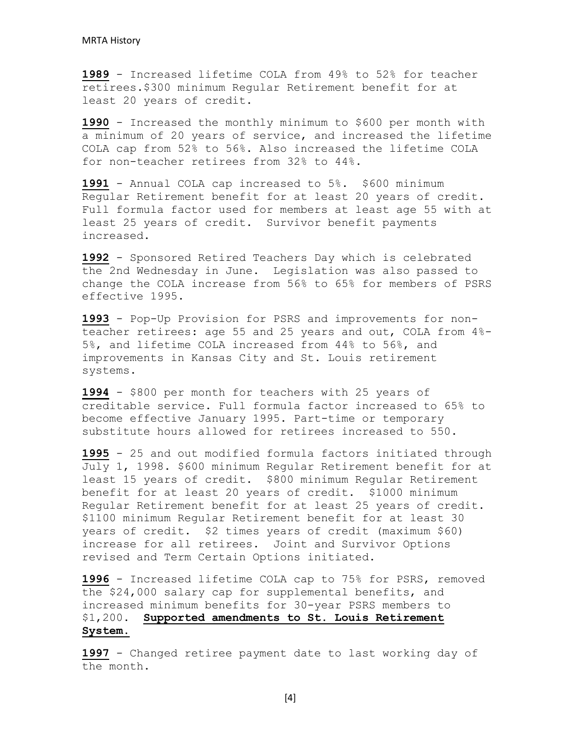**1989** - Increased lifetime COLA from 49% to 52% for teacher retirees.\$300 minimum Regular Retirement benefit for at least 20 years of credit.

**1990** - Increased the monthly minimum to \$600 per month with a minimum of 20 years of service, and increased the lifetime COLA cap from 52% to 56%. Also increased the lifetime COLA for non-teacher retirees from 32% to 44%.

**1991** - Annual COLA cap increased to 5%. \$600 minimum Regular Retirement benefit for at least 20 years of credit. Full formula factor used for members at least age 55 with at least 25 years of credit. Survivor benefit payments increased.

**1992** - Sponsored Retired Teachers Day which is celebrated the 2nd Wednesday in June. Legislation was also passed to change the COLA increase from 56% to 65% for members of PSRS effective 1995.

**1993** - Pop-Up Provision for PSRS and improvements for nonteacher retirees: age 55 and 25 years and out, COLA from 4%- 5%, and lifetime COLA increased from 44% to 56%, and improvements in Kansas City and St. Louis retirement systems.

**1994** - \$800 per month for teachers with 25 years of creditable service. Full formula factor increased to 65% to become effective January 1995. Part-time or temporary substitute hours allowed for retirees increased to 550.

**1995** - 25 and out modified formula factors initiated through July 1, 1998. \$600 minimum Regular Retirement benefit for at least 15 years of credit. \$800 minimum Regular Retirement benefit for at least 20 years of credit. \$1000 minimum Regular Retirement benefit for at least 25 years of credit. \$1100 minimum Regular Retirement benefit for at least 30 years of credit. \$2 times years of credit (maximum \$60) increase for all retirees. Joint and Survivor Options revised and Term Certain Options initiated.

**1996** - Increased lifetime COLA cap to 75% for PSRS, removed the \$24,000 salary cap for supplemental benefits, and increased minimum benefits for 30-year PSRS members to \$1,200. **Supported amendments to St. Louis Retirement System.**

**1997** - Changed retiree payment date to last working day of the month.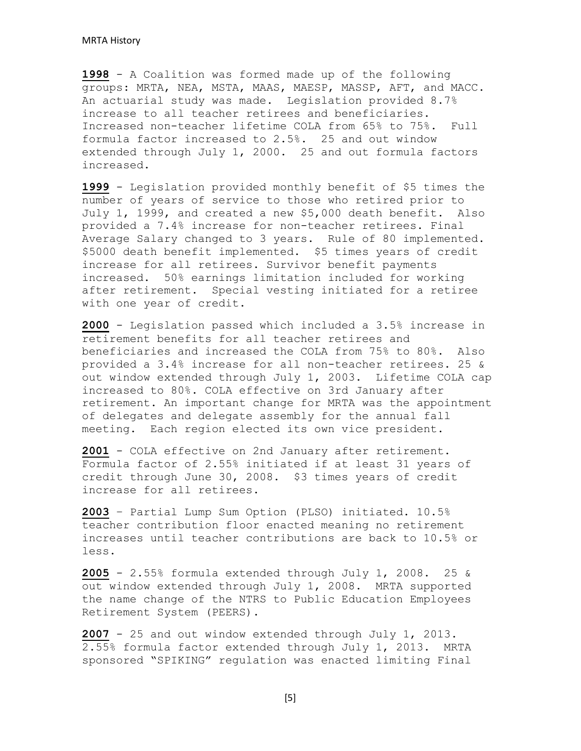**1998** - A Coalition was formed made up of the following groups: MRTA, NEA, MSTA, MAAS, MAESP, MASSP, AFT, and MACC. An actuarial study was made. Legislation provided 8.7% increase to all teacher retirees and beneficiaries. Increased non-teacher lifetime COLA from 65% to 75%. Full formula factor increased to 2.5%. 25 and out window extended through July 1, 2000. 25 and out formula factors increased.

**1999** - Legislation provided monthly benefit of \$5 times the number of years of service to those who retired prior to July 1, 1999, and created a new \$5,000 death benefit. Also provided a 7.4% increase for non-teacher retirees. Final Average Salary changed to 3 years. Rule of 80 implemented. \$5000 death benefit implemented. \$5 times years of credit increase for all retirees. Survivor benefit payments increased. 50% earnings limitation included for working after retirement. Special vesting initiated for a retiree with one year of credit.

**2000** - Legislation passed which included a 3.5% increase in retirement benefits for all teacher retirees and beneficiaries and increased the COLA from 75% to 80%. Also provided a 3.4% increase for all non-teacher retirees. 25 & out window extended through July 1, 2003. Lifetime COLA cap increased to 80%. COLA effective on 3rd January after retirement. An important change for MRTA was the appointment of delegates and delegate assembly for the annual fall meeting. Each region elected its own vice president.

**2001** - COLA effective on 2nd January after retirement. Formula factor of 2.55% initiated if at least 31 years of credit through June 30, 2008. \$3 times years of credit increase for all retirees.

**2003** – Partial Lump Sum Option (PLSO) initiated. 10.5% teacher contribution floor enacted meaning no retirement increases until teacher contributions are back to 10.5% or less.

**2005** - 2.55% formula extended through July 1, 2008. 25 & out window extended through July 1, 2008. MRTA supported the name change of the NTRS to Public Education Employees Retirement System (PEERS).

**2007** - 25 and out window extended through July 1, 2013. 2.55% formula factor extended through July 1, 2013. MRTA sponsored "SPIKING" regulation was enacted limiting Final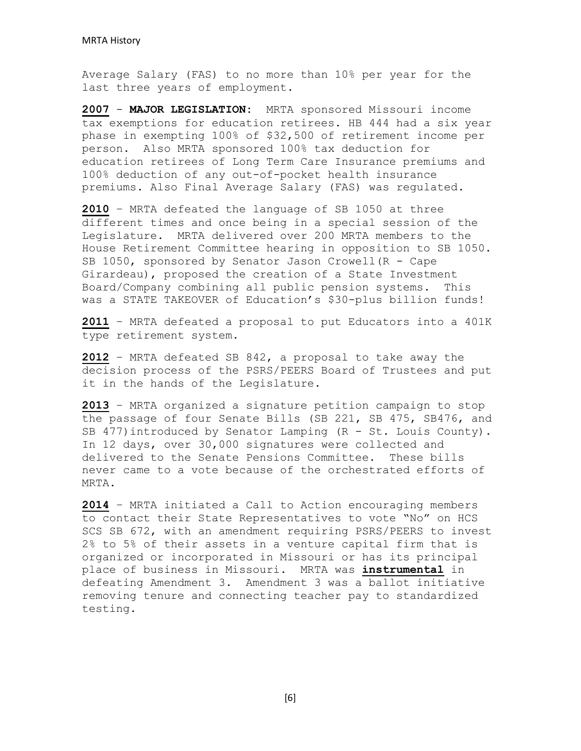Average Salary (FAS) to no more than 10% per year for the last three years of employment.

**2007** - **MAJOR LEGISLATION:** MRTA sponsored Missouri income tax exemptions for education retirees. HB 444 had a six year phase in exempting 100% of \$32,500 of retirement income per person. Also MRTA sponsored 100% tax deduction for education retirees of Long Term Care Insurance premiums and 100% deduction of any out-of-pocket health insurance premiums. Also Final Average Salary (FAS) was regulated.

**2010** – MRTA defeated the language of SB 1050 at three different times and once being in a special session of the Legislature. MRTA delivered over 200 MRTA members to the House Retirement Committee hearing in opposition to SB 1050. SB 1050, sponsored by Senator Jason Crowell(R - Cape Girardeau), proposed the creation of a State Investment Board/Company combining all public pension systems. This was a STATE TAKEOVER of Education's \$30-plus billion funds!

**2011** – MRTA defeated a proposal to put Educators into a 401K type retirement system.

**2012** – MRTA defeated SB 842, a proposal to take away the decision process of the PSRS/PEERS Board of Trustees and put it in the hands of the Legislature.

**2013** – MRTA organized a signature petition campaign to stop the passage of four Senate Bills (SB 221, SB 475, SB476, and SB 477) introduced by Senator Lamping (R - St. Louis County). In 12 days, over 30,000 signatures were collected and delivered to the Senate Pensions Committee. These bills never came to a vote because of the orchestrated efforts of MRTA.

**2014** – MRTA initiated a Call to Action encouraging members to contact their State Representatives to vote "No" on HCS SCS SB 672, with an amendment requiring PSRS/PEERS to invest 2% to 5% of their assets in a venture capital firm that is organized or incorporated in Missouri or has its principal place of business in Missouri. MRTA was **instrumental** in defeating Amendment 3. Amendment 3 was a ballot initiative removing tenure and connecting teacher pay to standardized testing.

[6]